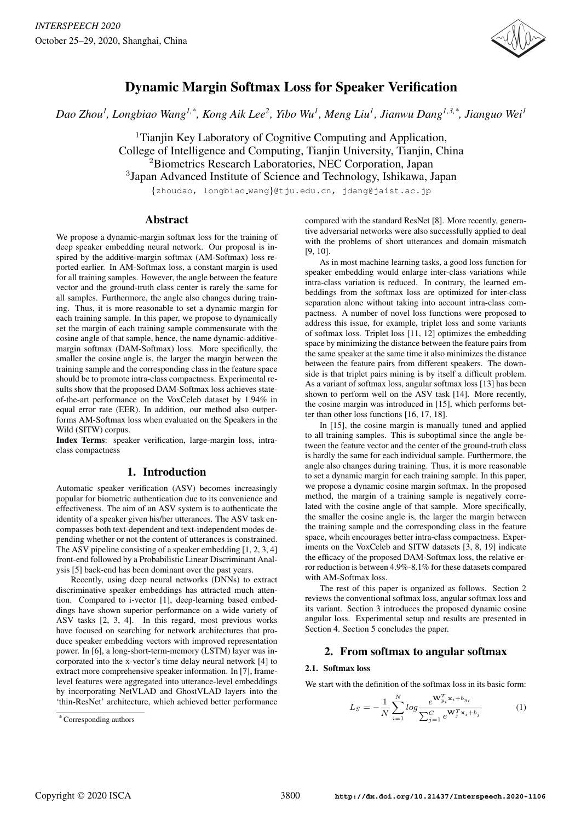

# Dynamic Margin Softmax Loss for Speaker Verification

*Dao Zhou<sup>1</sup> , Longbiao Wang1,\* , Kong Aik Lee<sup>2</sup> , Yibo Wu<sup>1</sup> , Meng Liu<sup>1</sup> , Jianwu Dang1,3,\*, Jianguo Wei<sup>1</sup>*

<sup>1</sup>Tianjin Key Laboratory of Cognitive Computing and Application, College of Intelligence and Computing, Tianjin University, Tianjin, China <sup>2</sup>Biometrics Research Laboratories, NEC Corporation, Japan <sup>3</sup>Japan Advanced Institute of Science and Technology, Ishikawa, Japan

{zhoudao, longbiao wang}@tju.edu.cn, jdang@jaist.ac.jp

## Abstract

We propose a dynamic-margin softmax loss for the training of deep speaker embedding neural network. Our proposal is inspired by the additive-margin softmax (AM-Softmax) loss reported earlier. In AM-Softmax loss, a constant margin is used for all training samples. However, the angle between the feature vector and the ground-truth class center is rarely the same for all samples. Furthermore, the angle also changes during training. Thus, it is more reasonable to set a dynamic margin for each training sample. In this paper, we propose to dynamically set the margin of each training sample commensurate with the cosine angle of that sample, hence, the name dynamic-additivemargin softmax (DAM-Softmax) loss. More specifically, the smaller the cosine angle is, the larger the margin between the training sample and the corresponding class in the feature space should be to promote intra-class compactness. Experimental results show that the proposed DAM-Softmax loss achieves stateof-the-art performance on the VoxCeleb dataset by 1.94% in equal error rate (EER). In addition, our method also outperforms AM-Softmax loss when evaluated on the Speakers in the Wild (SITW) corpus.

Index Terms: speaker verification, large-margin loss, intraclass compactness

# 1. Introduction

Automatic speaker verification (ASV) becomes increasingly popular for biometric authentication due to its convenience and effectiveness. The aim of an ASV system is to authenticate the identity of a speaker given his/her utterances. The ASV task encompasses both text-dependent and text-independent modes depending whether or not the content of utterances is constrained. The ASV pipeline consisting of a speaker embedding [1, 2, 3, 4] front-end followed by a Probabilistic Linear Discriminant Analysis [5] back-end has been dominant over the past years.

Recently, using deep neural networks (DNNs) to extract discriminative speaker embeddings has attracted much attention. Compared to i-vector [1], deep-learning based embeddings have shown superior performance on a wide variety of ASV tasks [2, 3, 4]. In this regard, most previous works have focused on searching for network architectures that produce speaker embedding vectors with improved representation power. In [6], a long-short-term-memory (LSTM) layer was incorporated into the x-vector's time delay neural network [4] to extract more comprehensive speaker information. In [7], framelevel features were aggregated into utterance-level embeddings by incorporating NetVLAD and GhostVLAD layers into the 'thin-ResNet' architecture, which achieved better performance compared with the standard ResNet [8]. More recently, generative adversarial networks were also successfully applied to deal with the problems of short utterances and domain mismatch [9, 10].

As in most machine learning tasks, a good loss function for speaker embedding would enlarge inter-class variations while intra-class variation is reduced. In contrary, the learned embeddings from the softmax loss are optimized for inter-class separation alone without taking into account intra-class compactness. A number of novel loss functions were proposed to address this issue, for example, triplet loss and some variants of softmax loss. Triplet loss [11, 12] optimizes the embedding space by minimizing the distance between the feature pairs from the same speaker at the same time it also minimizes the distance between the feature pairs from different speakers. The downside is that triplet pairs mining is by itself a difficult problem. As a variant of softmax loss, angular softmax loss [13] has been shown to perform well on the ASV task [14]. More recently, the cosine margin was introduced in [15], which performs better than other loss functions [16, 17, 18].

In [15], the cosine margin is manually tuned and applied to all training samples. This is suboptimal since the angle between the feature vector and the center of the ground-truth class is hardly the same for each individual sample. Furthermore, the angle also changes during training. Thus, it is more reasonable to set a dynamic margin for each training sample. In this paper, we propose a dynamic cosine margin softmax. In the proposed method, the margin of a training sample is negatively correlated with the cosine angle of that sample. More specifically, the smaller the cosine angle is, the larger the margin between the training sample and the corresponding class in the feature space, whcih encourages better intra-class compactness. Experiments on the VoxCeleb and SITW datasets [3, 8, 19] indicate the efficacy of the proposed DAM-Softmax loss, the relative error reduction is between 4.9%-8.1% for these datasets compared with AM-Softmax loss.

The rest of this paper is organized as follows. Section 2 reviews the conventional softmax loss, angular softmax loss and its variant. Section 3 introduces the proposed dynamic cosine angular loss. Experimental setup and results are presented in Section 4. Section 5 concludes the paper.

# 2. From softmax to angular softmax

#### 2.1. Softmax loss

We start with the definition of the softmax loss in its basic form:

$$
L_S = -\frac{1}{N} \sum_{i=1}^{N} \log \frac{e^{\mathbf{W}_{y_i}^T \mathbf{x}_i + b_{y_i}}}{\sum_{j=1}^{C} e^{\mathbf{W}_j^T \mathbf{x}_i + b_j}}
$$
(1)

 $*$  Corresponding authors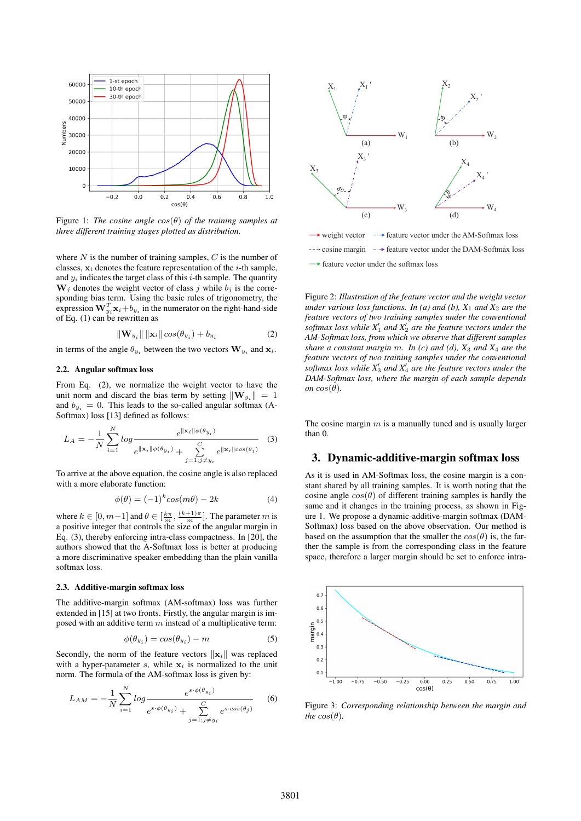

Figure 1: *The cosine angle* cos(θ) *of the training samples at three different training stages plotted as distribution.*

where  $N$  is the number of training samples,  $C$  is the number of classes,  $x_i$  denotes the feature representation of the *i*-th sample, and  $y_i$  indicates the target class of this *i*-th sample. The quantity  $W_j$  denotes the weight vector of class j while  $b_j$  is the corresponding bias term. Using the basic rules of trigonometry, the expression  $\mathbf{W}_{y_i}^T \mathbf{x}_i + b_{y_i}$  in the numerator on the right-hand-side of Eq.  $(1)$  can be rewritten as

$$
\|\mathbf{W}_{y_i}\| \|\mathbf{x}_i\| \cos(\theta_{y_i}) + b_{y_i} \tag{2}
$$

in terms of the angle  $\theta_{y_i}$  between the two vectors  $\mathbf{W}_{y_i}$  and  $\mathbf{x}_i$ .

#### 2.2. Angular softmax loss

From Eq. (2), we normalize the weight vector to have the unit norm and discard the bias term by setting  $\|\mathbf{W}_{y_i}\| = 1$ and  $b_{y_i} = 0$ . This leads to the so-called angular softmax (A-Softmax) loss [13] defined as follows:

$$
L_A = -\frac{1}{N} \sum_{i=1}^{N} \log \frac{e^{\|\mathbf{x}_i\| \phi(\theta_{y_i})}}{e^{\|\mathbf{x}_i\| \phi(\theta_{y_i})} + \sum_{j=1; j \neq y_i}^{C} e^{\|\mathbf{x}_i\| \cos(\theta_j)}} \tag{3}
$$

To arrive at the above equation, the cosine angle is also replaced with a more elaborate function:

$$
\phi(\theta) = (-1)^k \cos(m\theta) - 2k \tag{4}
$$

where  $k \in [0, m-1]$  and  $\theta \in [\frac{k\pi}{m}, \frac{(k+1)\pi}{m}]$ . The parameter m is a positive integer that controls the size of the angular margin in Eq. (3), thereby enforcing intra-class compactness. In [20], the authors showed that the A-Softmax loss is better at producing a more discriminative speaker embedding than the plain vanilla softmax loss.

#### 2.3. Additive-margin softmax loss

The additive-margin softmax (AM-softmax) loss was further extended in [15] at two fronts. Firstly, the angular margin is imposed with an additive term  $m$  instead of a multiplicative term:

$$
\phi(\theta_{y_i}) = \cos(\theta_{y_i}) - m \tag{5}
$$

Secondly, the norm of the feature vectors  $\|\mathbf{x}_i\|$  was replaced with a hyper-parameter  $s$ , while  $x_i$  is normalized to the unit norm. The formula of the AM-softmax loss is given by:

$$
L_{AM} = -\frac{1}{N} \sum_{i=1}^{N} \log \frac{e^{s \cdot \phi(\theta_{y_i})}}{e^{s \cdot \phi(\theta_{y_i})} + \sum_{j=1; j \neq y_i}^{C} e^{s \cdot cos(\theta_j)}} \tag{6}
$$



weight vector  $\rightarrow$  cosine margin  $\rightarrow$  feature vector under the DAM-Softmax loss  $\rightarrow$  feature vector under the softmax loss find the AM-Softmax loss

Figure 2: *Illustration of the feature vector and the weight vector under various loss functions. In (a) and (b),*  $X_1$  *and*  $X_2$  *are the feature vectors of two training samples under the conventional* softmax loss while  $X_1'$  and  $X_2'$  are the feature vectors under the *AM-Softmax loss, from which we observe that different samples share a constant margin* m*. In (c) and (d), X*<sup>3</sup> *and X*<sup>4</sup> *are the feature vectors of two training samples under the conventional* softmax loss while  $X_3'$  and  $X_4'$  are the feature vectors under the *DAM-Softmax loss, where the margin of each sample depends on*  $cos(\theta)$ *.* 

The cosine margin  $m$  is a manually tuned and is usually larger than 0.

## 3. Dynamic-additive-margin softmax loss

As it is used in AM-Softmax loss, the cosine margin is a constant shared by all training samples. It is worth noting that the cosine angle  $cos(\theta)$  of different training samples is hardly the same and it changes in the training process, as shown in Figure 1. We propose a dynamic-additive-margin softmax (DAM-Softmax) loss based on the above observation. Our method is based on the assumption that the smaller the  $cos(\theta)$  is, the farther the sample is from the corresponding class in the feature space, therefore a larger margin should be set to enforce intra-



Figure 3: *Corresponding relationship between the margin and the*  $cos(\theta)$ *.*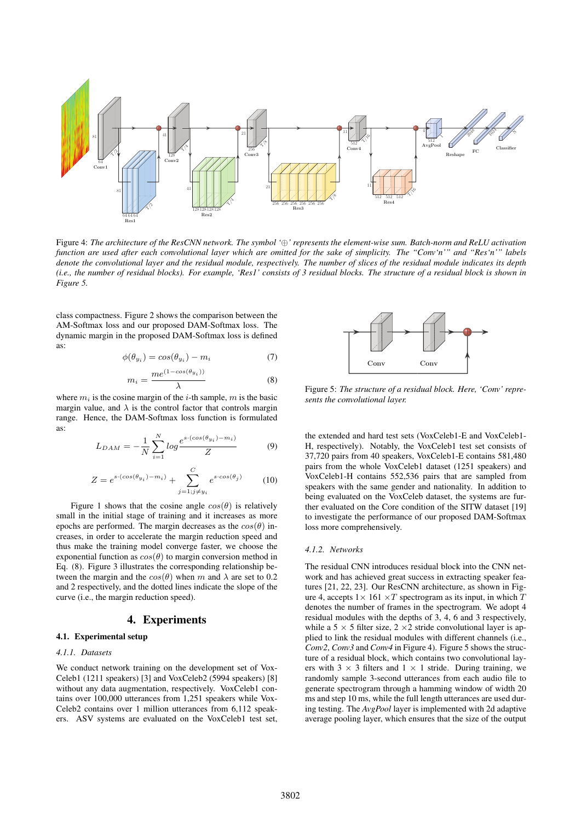

Figure 4: *The architecture of the ResCNN network. The symbol '*⊕*' represents the element-wise sum. Batch-norm and ReLU activation function are used after each convolutional layer which are omitted for the sake of simplicity. The "Conv'n'" and "Res'n'" labels denote the convolutional layer and the residual module, respectively. The number of slices of the residual module indicates its depth (i.e., the number of residual blocks). For example, 'Res1' consists of 3 residual blocks. The structure of a residual block is shown in Figure 5.*

class compactness. Figure 2 shows the comparison between the AM-Softmax loss and our proposed DAM-Softmax loss. The dynamic margin in the proposed DAM-Softmax loss is defined as:

$$
\phi(\theta_{y_i}) = \cos(\theta_{y_i}) - m_i \tag{7}
$$

$$
m_i = \frac{me^{(1-\cos(\theta_{y_i}))}}{\lambda} \tag{8}
$$

where  $m_i$  is the cosine margin of the *i*-th sample, m is the basic margin value, and  $\lambda$  is the control factor that controls margin range. Hence, the DAM-Softmax loss function is formulated as:

$$
L_{DAM} = -\frac{1}{N} \sum_{i=1}^{N} \log \frac{e^{s \cdot (cos(\theta_{y_i}) - m_i)}}{Z}
$$
(9)

$$
Z = e^{s \cdot (cos(\theta_{y_i}) - m_i)} + \sum_{j=1; j \neq y_i}^{C} e^{s \cdot cos(\theta_j)}
$$
(10)

Figure 1 shows that the cosine angle  $cos(\theta)$  is relatively small in the initial stage of training and it increases as more epochs are performed. The margin decreases as the  $cos(\theta)$  increases, in order to accelerate the margin reduction speed and thus make the training model converge faster, we choose the exponential function as  $cos(\theta)$  to margin conversion method in Eq. (8). Figure 3 illustrates the corresponding relationship between the margin and the  $cos(\theta)$  when m and  $\lambda$  are set to 0.2 and 2 respectively, and the dotted lines indicate the slope of the curve (i.e., the margin reduction speed).

## 4. Experiments

## 4.1. Experimental setup

#### *4.1.1. Datasets*

We conduct network training on the development set of Vox-Celeb1 (1211 speakers) [3] and VoxCeleb2 (5994 speakers) [8] without any data augmentation, respectively. VoxCeleb1 contains over 100,000 utterances from 1,251 speakers while Vox-Celeb2 contains over 1 million utterances from 6,112 speakers. ASV systems are evaluated on the VoxCeleb1 test set,



Figure 5: *The structure of a residual block. Here, 'Conv' represents the convolutional layer.*

the extended and hard test sets (VoxCeleb1-E and VoxCeleb1- H, respectively). Notably, the VoxCeleb1 test set consists of 37,720 pairs from 40 speakers, VoxCeleb1-E contains 581,480 pairs from the whole VoxCeleb1 dataset (1251 speakers) and VoxCeleb1-H contains 552,536 pairs that are sampled from speakers with the same gender and nationality. In addition to being evaluated on the VoxCeleb dataset, the systems are further evaluated on the Core condition of the SITW dataset [19] to investigate the performance of our proposed DAM-Softmax loss more comprehensively.

#### *4.1.2. Networks*

The residual CNN introduces residual block into the CNN network and has achieved great success in extracting speaker features [21, 22, 23]. Our ResCNN architecture, as shown in Figure 4, accepts  $1 \times 161 \times T$  spectrogram as its input, in which T denotes the number of frames in the spectrogram. We adopt 4 residual modules with the depths of 3, 4, 6 and 3 respectively, while a 5  $\times$  5 filter size, 2  $\times$  2 stride convolutional layer is applied to link the residual modules with different channels (i.e., *Conv2*, *Conv3* and *Conv4* in Figure 4). Figure 5 shows the structure of a residual block, which contains two convolutional layers with  $3 \times 3$  filters and  $1 \times 1$  stride. During training, we randomly sample 3-second utterances from each audio file to generate spectrogram through a hamming window of width 20 ms and step 10 ms, while the full length utterances are used during testing. The *AvgPool* layer is implemented with 2d adaptive average pooling layer, which ensures that the size of the output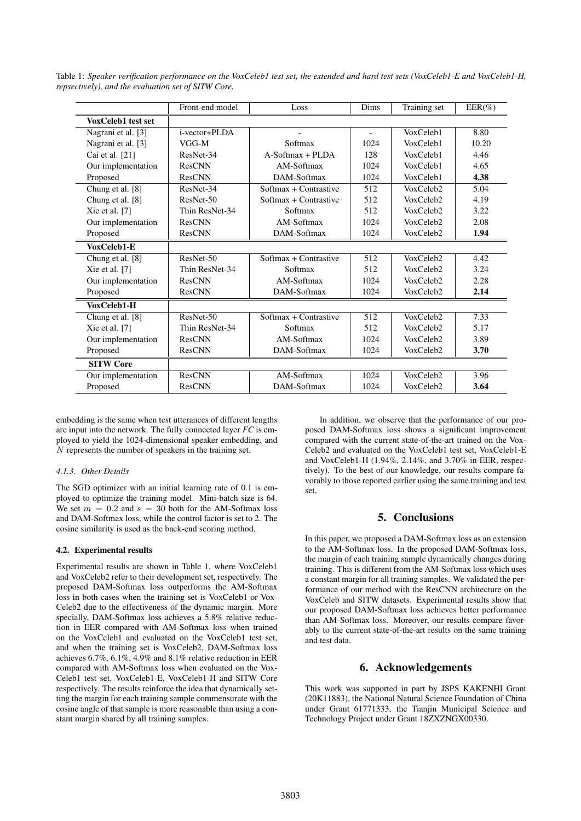|                    | Front-end model | Loss                  | Dims           | Training set              | $EER(\%)$ |
|--------------------|-----------------|-----------------------|----------------|---------------------------|-----------|
| VoxCeleb1 test set |                 |                       |                |                           |           |
| Nagrani et al. [3] | i-vector+PLDA   |                       | $\overline{a}$ | VoxCeleb1                 | 8.80      |
| Nagrani et al. [3] | VGG-M           | Softmax               | 1024           | VoxCeleb1                 | 10.20     |
| Cai et al. [21]    | ResNet-34       | $A-Softmax + PI$ DA   | 128            | VoxCeleb1                 | 4.46      |
| Our implementation | ResCNN          | AM-Softmax            | 1024           | VoxCeleb1                 | 4.65      |
| Proposed           | <b>ResCNN</b>   | DAM-Softmax           | 1024           | VoxCeleb1                 | 4.38      |
| Chung et al. [8]   | ResNet-34       | Softmax + Contrastive | 512            | VoxCeleb2                 | 5.04      |
| Chung et al. [8]   | ResNet-50       | Softmax + Contrastive | 512            | VoxCeleb2                 | 4.19      |
| Xie et al. $[7]$   | Thin ResNet-34  | Softmax               | 512            | VoxCeleb2                 | 3.22      |
| Our implementation | <b>ResCNN</b>   | AM-Softmax            | 1024           | VoxCeleb2                 | 2.08      |
| Proposed           | ResCNN          | DAM-Softmax           | 1024           | VoxCeleb2                 | 1.94      |
| VoxCeleb1-E        |                 |                       |                |                           |           |
| Chung et al. [8]   | ResNet-50       | Softmax + Contrastive | 512            | VoxCeleb2                 | 4.42      |
| Xie et al. $[7]$   | Thin ResNet-34  | Softmax               | 512            | $V_0x$ Celeb <sub>2</sub> | 3.24      |
| Our implementation | ResCNN          | AM-Softmax            | 1024           | VoxCeleb2                 | 2.28      |
| Proposed           | ResCNN          | DAM-Softmax           | 1024           | VoxCeleb2                 | 2.14      |
| VoxCeleb1-H        |                 |                       |                |                           |           |
| Chung et al. [8]   | ResNet-50       | Softmax + Contrastive | 512            | VoxCeleb2                 | 7.33      |
| Xie et al. $[7]$   | Thin ResNet-34  | Softmax               | 512            | VoxCeleb <sub>2</sub>     | 5.17      |
| Our implementation | <b>ResCNN</b>   | AM-Softmax            | 1024           | VoxCeleb2                 | 3.89      |
| Proposed           | <b>ResCNN</b>   | DAM-Softmax           | 1024           | VoxCeleb2                 | 3.70      |
| <b>SITW Core</b>   |                 |                       |                |                           |           |
| Our implementation | <b>ResCNN</b>   | AM-Softmax            | 1024           | VoxCeleb2                 | 3.96      |
| Proposed           | <b>ResCNN</b>   | DAM-Softmax           | 1024           | VoxCeleb2                 | 3.64      |

Table 1: *Speaker verification performance on the VoxCeleb1 test set, the extended and hard test sets (VoxCeleb1-E and VoxCeleb1-H, repsectively), and the evaluation set of SITW Core.*

embedding is the same when test utterances of different lengths are input into the network. The fully connected layer *FC* is employed to yield the 1024-dimensional speaker embedding, and N represents the number of speakers in the training set.

#### *4.1.3. Other Details*

The SGD optimizer with an initial learning rate of 0.1 is employed to optimize the training model. Mini-batch size is 64. We set  $m = 0.2$  and  $s = 30$  both for the AM-Softmax loss and DAM-Softmax loss, while the control factor is set to 2. The cosine similarity is used as the back-end scoring method.

## 4.2. Experimental results

Experimental results are shown in Table 1, where VoxCeleb1 and VoxCeleb2 refer to their development set, respectively. The proposed DAM-Softmax loss outperforms the AM-Softmax loss in both cases when the training set is VoxCeleb1 or Vox-Celeb2 due to the effectiveness of the dynamic margin. More specially, DAM-Softmax loss achieves a 5.8% relative reduction in EER compared with AM-Softmax loss when trained on the VoxCeleb1 and evaluated on the VoxCeleb1 test set, and when the training set is VoxCeleb2, DAM-Softmax loss achieves 6.7%, 6.1%, 4.9% and 8.1% relative reduction in EER compared with AM-Softmax loss when evaluated on the Vox-Celeb1 test set, VoxCeleb1-E, VoxCeleb1-H and SITW Core respectively. The results reinforce the idea that dynamically setting the margin for each training sample commensurate with the cosine angle of that sample is more reasonable than using a constant margin shared by all training samples.

In addition, we observe that the performance of our proposed DAM-Softmax loss shows a significant improvement compared with the current state-of-the-art trained on the Vox-Celeb2 and evaluated on the VoxCeleb1 test set, VoxCeleb1-E and VoxCeleb1-H (1.94%, 2.14%, and 3.70% in EER, respectively). To the best of our knowledge, our results compare favorably to those reported earlier using the same training and test set.

# 5. Conclusions

In this paper, we proposed a DAM-Softmax loss as an extension to the AM-Softmax loss. In the proposed DAM-Softmax loss, the margin of each training sample dynamically changes during training. This is different from the AM-Softmax loss which uses a constant margin for all training samples. We validated the performance of our method with the ResCNN architecture on the VoxCeleb and SITW datasets. Experimental results show that our proposed DAM-Softmax loss achieves better performance than AM-Softmax loss. Moreover, our results compare favorably to the current state-of-the-art results on the same training and test data.

# 6. Acknowledgements

This work was supported in part by JSPS KAKENHI Grant (20K11883), the National Natural Science Foundation of China under Grant 61771333, the Tianjin Municipal Science and Technology Project under Grant 18ZXZNGX00330.